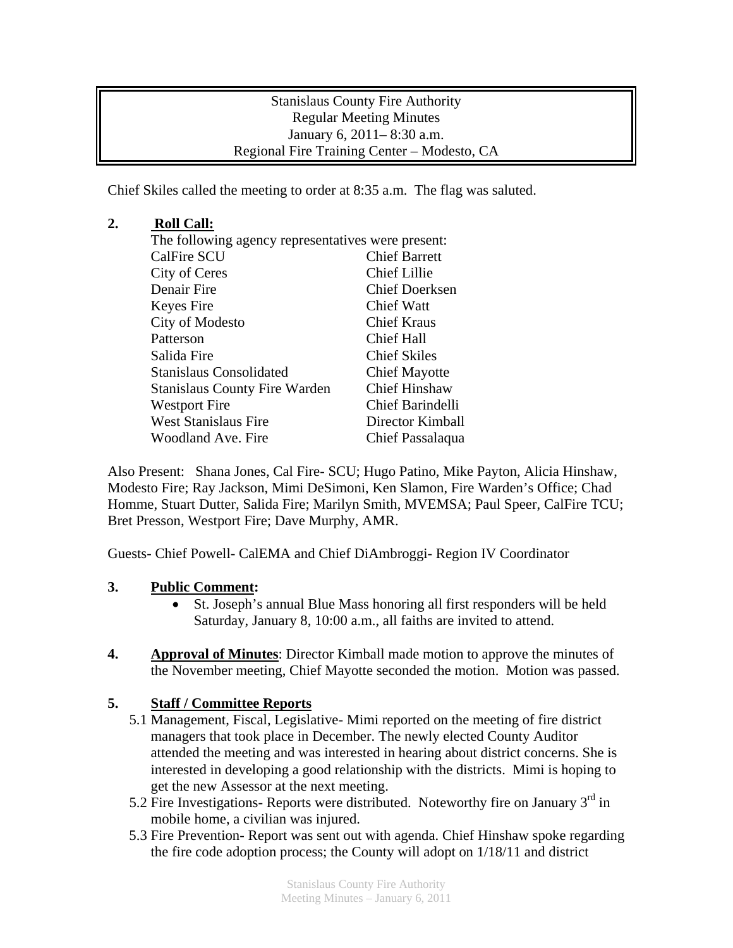Stanislaus County Fire Authority Regular Meeting Minutes January 6, 2011– 8:30 a.m. Regional Fire Training Center – Modesto, CA

Chief Skiles called the meeting to order at 8:35 a.m. The flag was saluted.

## **2. Roll Call:**

| The following agency representatives were present: |                         |
|----------------------------------------------------|-------------------------|
| <b>CalFire SCU</b>                                 | <b>Chief Barrett</b>    |
| City of Ceres                                      | <b>Chief Lillie</b>     |
| Denair Fire                                        | <b>Chief Doerksen</b>   |
| Keyes Fire                                         | Chief Watt              |
| City of Modesto                                    | Chief Kraus             |
| Patterson                                          | Chief Hall              |
| Salida Fire                                        | <b>Chief Skiles</b>     |
| <b>Stanislaus Consolidated</b>                     | <b>Chief Mayotte</b>    |
| <b>Stanislaus County Fire Warden</b>               | <b>Chief Hinshaw</b>    |
| <b>Westport Fire</b>                               | <b>Chief Barindelli</b> |
| <b>West Stanislaus Fire</b>                        | Director Kimball        |
| Woodland Ave. Fire                                 | Chief Passalaqua        |

Also Present: Shana Jones, Cal Fire- SCU; Hugo Patino, Mike Payton, Alicia Hinshaw, Modesto Fire; Ray Jackson, Mimi DeSimoni, Ken Slamon, Fire Warden's Office; Chad Homme, Stuart Dutter, Salida Fire; Marilyn Smith, MVEMSA; Paul Speer, CalFire TCU; Bret Presson, Westport Fire; Dave Murphy, AMR.

Guests- Chief Powell- CalEMA and Chief DiAmbroggi- Region IV Coordinator

## **3. Public Comment:**

- St. Joseph's annual Blue Mass honoring all first responders will be held Saturday, January 8, 10:00 a.m., all faiths are invited to attend.
- **4. Approval of Minutes**: Director Kimball made motion to approve the minutes of the November meeting, Chief Mayotte seconded the motion. Motion was passed.

## **5. Staff / Committee Reports**

- 5.1 Management, Fiscal, Legislative- Mimi reported on the meeting of fire district managers that took place in December. The newly elected County Auditor attended the meeting and was interested in hearing about district concerns. She is interested in developing a good relationship with the districts. Mimi is hoping to get the new Assessor at the next meeting.
- 5.2 Fire Investigations- Reports were distributed. Noteworthy fire on January  $3<sup>rd</sup>$  in mobile home, a civilian was injured.
- 5.3 Fire Prevention- Report was sent out with agenda. Chief Hinshaw spoke regarding the fire code adoption process; the County will adopt on 1/18/11 and district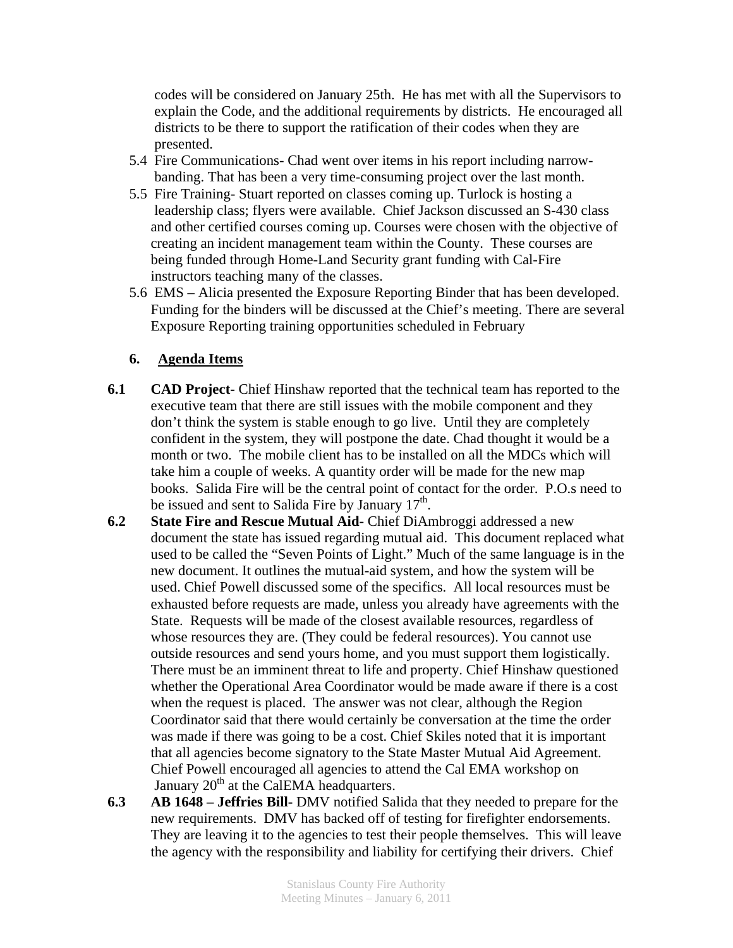codes will be considered on January 25th. He has met with all the Supervisors to explain the Code, and the additional requirements by districts. He encouraged all districts to be there to support the ratification of their codes when they are presented.

- 5.4 Fire Communications- Chad went over items in his report including narrow banding. That has been a very time-consuming project over the last month.
- 5.5 Fire Training- Stuart reported on classes coming up. Turlock is hosting a leadership class; flyers were available. Chief Jackson discussed an S-430 class and other certified courses coming up. Courses were chosen with the objective of creating an incident management team within the County. These courses are being funded through Home-Land Security grant funding with Cal-Fire instructors teaching many of the classes.
- 5.6 EMS Alicia presented the Exposure Reporting Binder that has been developed. Funding for the binders will be discussed at the Chief's meeting. There are several Exposure Reporting training opportunities scheduled in February

## **6. Agenda Items**

- **6.1 CAD Project-** Chief Hinshaw reported that the technical team has reported to the executive team that there are still issues with the mobile component and they don't think the system is stable enough to go live. Until they are completely confident in the system, they will postpone the date. Chad thought it would be a month or two. The mobile client has to be installed on all the MDCs which will take him a couple of weeks. A quantity order will be made for the new map books. Salida Fire will be the central point of contact for the order. P.O.s need to be issued and sent to Salida Fire by January  $17<sup>th</sup>$ .
- **6.2 State Fire and Rescue Mutual Aid-** Chief DiAmbroggi addressed a new document the state has issued regarding mutual aid. This document replaced what used to be called the "Seven Points of Light." Much of the same language is in the new document. It outlines the mutual-aid system, and how the system will be used. Chief Powell discussed some of the specifics. All local resources must be exhausted before requests are made, unless you already have agreements with the State. Requests will be made of the closest available resources, regardless of whose resources they are. (They could be federal resources). You cannot use outside resources and send yours home, and you must support them logistically. There must be an imminent threat to life and property. Chief Hinshaw questioned whether the Operational Area Coordinator would be made aware if there is a cost when the request is placed. The answer was not clear, although the Region Coordinator said that there would certainly be conversation at the time the order was made if there was going to be a cost. Chief Skiles noted that it is important that all agencies become signatory to the State Master Mutual Aid Agreement. Chief Powell encouraged all agencies to attend the Cal EMA workshop on January 20<sup>th</sup> at the CalEMA headquarters.
- **6.3 AB 1648 Jeffries Bill-** DMV notified Salida that they needed to prepare for the new requirements. DMV has backed off of testing for firefighter endorsements. They are leaving it to the agencies to test their people themselves. This will leave the agency with the responsibility and liability for certifying their drivers. Chief